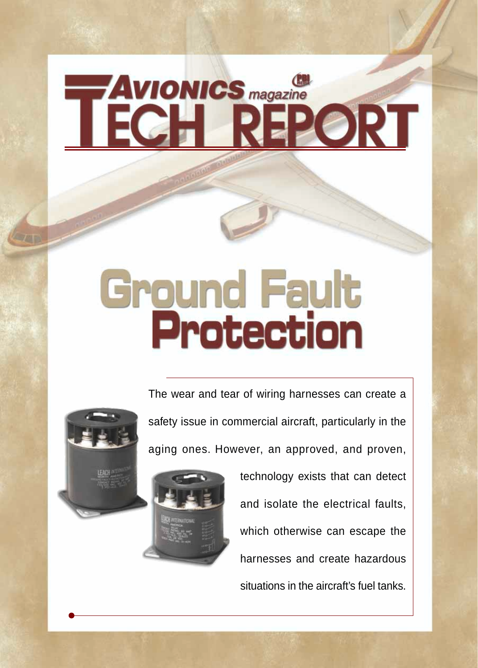# **AVIONICS** magazine

# **Ground Fault**<br>Protection

The wear and tear of wiring harnesses can create a safety issue in commercial aircraft, particularly in the aging ones. However, an approved, and proven,



technology exists that can detect and isolate the electrical faults, which otherwise can escape the harnesses and create hazardous situations in the aircraft's fuel tanks.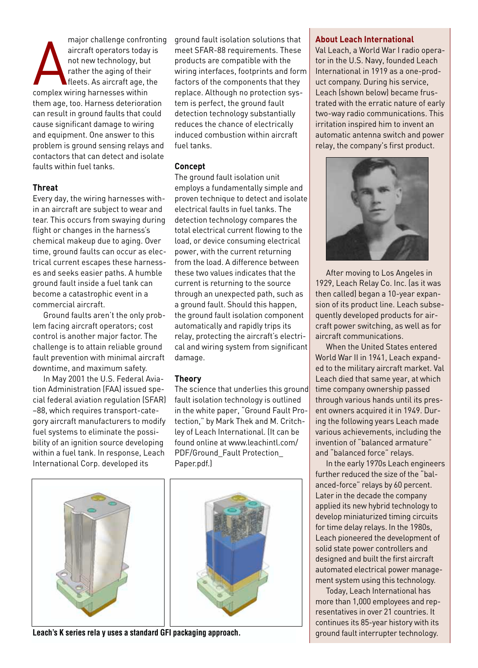A aircraft operators today<br>
not new technology, bu<br>
rather the aging of their<br>
fleets. As aircraft age, to<br>
complex wiring harnesses within major challenge confronting aircraft operators today is not new technology, but rather the aging of their fleets. As aircraft age, the them age, too. Harness deterioration can result in ground faults that could cause significant damage to wiring and equipment. One answer to this problem is ground sensing relays and contactors that can detect and isolate faults within fuel tanks.

# **Threat**

Every day, the wiring harnesses within an aircraft are subject to wear and tear. This occurs from swaying during flight or changes in the harness's chemical makeup due to aging. Over time, ground faults can occur as electrical current escapes these harnesses and seeks easier paths. A humble ground fault inside a fuel tank can become a catastrophic event in a commercial aircraft.

Ground faults aren't the only problem facing aircraft operators; cost control is another major factor. The challenge is to attain reliable ground fault prevention with minimal aircraft downtime, and maximum safety.

In May 2001 the U.S. Federal Aviation Administration (FAA) issued special federal aviation regulation (SFAR) –88, which requires transport-category aircraft manufacturers to modify fuel systems to eliminate the possibility of an ignition source developing within a fuel tank. In response, Leach International Corp. developed its

ground fault isolation solutions that meet SFAR-88 requirements. These products are compatible with the wiring interfaces, footprints and form factors of the components that they replace. Although no protection system is perfect, the ground fault detection technology substantially reduces the chance of electrically induced combustion within aircraft fuel tanks.

# **Concept**

The ground fault isolation unit employs a fundamentally simple and proven technique to detect and isolate electrical faults in fuel tanks. The detection technology compares the total electrical current flowing to the load, or device consuming electrical power, with the current returning from the load. A difference between these two values indicates that the current is returning to the source through an unexpected path, such as a ground fault. Should this happen, the ground fault isolation component automatically and rapidly trips its relay, protecting the aircraft's electrical and wiring system from significant damage.

# **Theory**

The science that underlies this ground fault isolation technology is outlined in the white paper, "Ground Fault Protection," by Mark Thek and M. Critchley of Leach International. (It can be found online at www.leachintl.com/ PDF/Ground Fault Protection Paper.pdf.)



# Leach's K series rela y uses a standard GFI packaging approach. **Generally approach and the standard fault** interrupter technology.

## **About Leach International**

Val Leach, a World War I radio operator in the U.S. Navy, founded Leach International in 1919 as a one-product company. During his service, Leach (shown below) became frustrated with the erratic nature of early two-way radio communications. This irritation inspired him to invent an automatic antenna switch and power relay, the company's first product.



After moving to Los Angeles in 1929, Leach Relay Co. Inc. (as it was then called) began a 10-year expansion of its product line. Leach subsequently developed products for aircraft power switching, as well as for aircraft communications.

When the United States entered World War II in 1941, Leach expanded to the military aircraft market. Val Leach died that same year, at which time company ownership passed through various hands until its present owners acquired it in 1949. During the following years Leach made various achievements, including the invention of "balanced armature" and "balanced force" relays.

In the early 1970s Leach engineers further reduced the size of the "balanced-force" relays by 60 percent. Later in the decade the company applied its new hybrid technology to develop miniaturized timing circuits for time delay relays. In the 1980s, Leach pioneered the development of solid state power controllers and designed and built the first aircraft automated electrical power management system using this technology.

Today, Leach International has more than 1,000 employees and representatives in over 21 countries. It continues its 85-year history with its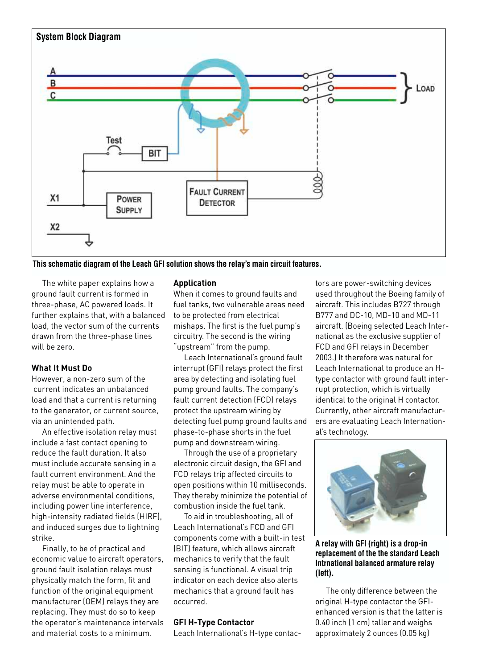

**This schematic diagram of the Leach GFI solution shows the relay's main circuit features.** 

The white paper explains how a ground fault current is formed in three-phase, AC powered loads. It further explains that, with a balanced load, the vector sum of the currents drawn from the three-phase lines will be zero.

# **What It Must Do**

However, a non-zero sum of the current indicates an unbalanced load and that a current is returning to the generator, or current source, via an unintended path.

An effective isolation relay must include a fast contact opening to reduce the fault duration. It also must include accurate sensing in a fault current environment. And the relay must be able to operate in adverse environmental conditions, including power line interference, high-intensity radiated fields (HIRF), and induced surges due to lightning strike.

Finally, to be of practical and economic value to aircraft operators, ground fault isolation relays must physically match the form, fit and function of the original equipment manufacturer (OEM) relays they are replacing. They must do so to keep the operator's maintenance intervals and material costs to a minimum.

## **Application**

When it comes to ground faults and fuel tanks, two vulnerable areas need to be protected from electrical mishaps. The first is the fuel pump's circuitry. The second is the wiring "upstream" from the pump.

Leach International's ground fault interrupt (GFI) relays protect the first area by detecting and isolating fuel pump ground faults. The company's fault current detection (FCD) relays protect the upstream wiring by detecting fuel pump ground faults and phase-to-phase shorts in the fuel pump and downstream wiring.

Through the use of a proprietary electronic circuit design, the GFI and FCD relays trip affected circuits to open positions within 10 milliseconds. They thereby minimize the potential of combustion inside the fuel tank.

To aid in troubleshooting, all of Leach International's FCD and GFI components come with a built-in test (BIT) feature, which allows aircraft mechanics to verify that the fault sensing is functional. A visual trip indicator on each device also alerts mechanics that a ground fault has occurred.

# **GFI H-Type Contactor**

Leach International's H-type contac-

tors are power-switching devices used throughout the Boeing family of aircraft. This includes B727 through B777 and DC-10, MD-10 and MD-11 aircraft. (Boeing selected Leach International as the exclusive supplier of FCD and GFI relays in December 2003.) It therefore was natural for Leach International to produce an Htype contactor with ground fault interrupt protection, which is virtually identical to the original H contactor. Currently, other aircraft manufacturers are evaluating Leach International's technology.



**A relay with GFI (right) is a drop-in replacement of the the standard Leach Intrnational balanced armature relay (left).**

The only difference between the original H-type contactor the GFIenhanced version is that the latter is 0.40 inch (1 cm) taller and weighs approximately 2 ounces (0.05 kg)